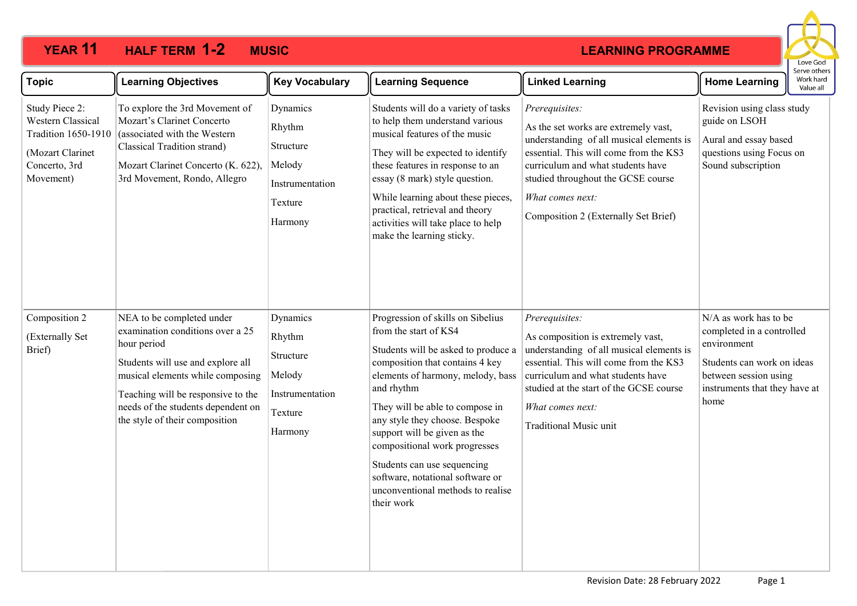# **YEAR 11 HALF TERM MUSIC 1-2**

#### **LEARNING PROGRAMME**



| <b>Topic</b>                                                                                                        | <b>Learning Objectives</b>                                                                                                                                                                                                                                          | <b>Key Vocabulary</b>                                                              | <b>Learning Sequence</b>                                                                                                                                                                                                                                                                                                                                                                                                                            | <b>Linked Learning</b>                                                                                                                                                                                                                                                              | <b>Home Learning</b>                                                                                                                                              | כו עכ טנווכו:<br>Work hard<br>Value all |
|---------------------------------------------------------------------------------------------------------------------|---------------------------------------------------------------------------------------------------------------------------------------------------------------------------------------------------------------------------------------------------------------------|------------------------------------------------------------------------------------|-----------------------------------------------------------------------------------------------------------------------------------------------------------------------------------------------------------------------------------------------------------------------------------------------------------------------------------------------------------------------------------------------------------------------------------------------------|-------------------------------------------------------------------------------------------------------------------------------------------------------------------------------------------------------------------------------------------------------------------------------------|-------------------------------------------------------------------------------------------------------------------------------------------------------------------|-----------------------------------------|
| Study Piece 2:<br>Western Classical<br><b>Tradition 1650-1910</b><br>(Mozart Clarinet<br>Concerto, 3rd<br>Movement) | To explore the 3rd Movement of<br>Mozart's Clarinet Concerto<br>(associated with the Western<br>Classical Tradition strand)<br>Mozart Clarinet Concerto (K. 622),<br>3rd Movement, Rondo, Allegro                                                                   | Dynamics<br>Rhythm<br>Structure<br>Melody<br>Instrumentation<br>Texture<br>Harmony | Students will do a variety of tasks<br>to help them understand various<br>musical features of the music<br>They will be expected to identify<br>these features in response to an<br>essay (8 mark) style question.<br>While learning about these pieces,<br>practical, retrieval and theory<br>activities will take place to help<br>make the learning sticky.                                                                                      | Prerequisites:<br>As the set works are extremely vast,<br>understanding of all musical elements is<br>essential. This will come from the KS3<br>curriculum and what students have<br>studied throughout the GCSE course<br>What comes next:<br>Composition 2 (Externally Set Brief) | Revision using class study<br>guide on LSOH<br>Aural and essay based<br>questions using Focus on<br>Sound subscription                                            |                                         |
| Composition 2<br>(Externally Set<br>Brief)                                                                          | NEA to be completed under<br>examination conditions over a 25<br>hour period<br>Students will use and explore all<br>musical elements while composing<br>Teaching will be responsive to the<br>needs of the students dependent on<br>the style of their composition | Dynamics<br>Rhythm<br>Structure<br>Melody<br>Instrumentation<br>Texture<br>Harmony | Progression of skills on Sibelius<br>from the start of KS4<br>Students will be asked to produce a<br>composition that contains 4 key<br>elements of harmony, melody, bass<br>and rhythm<br>They will be able to compose in<br>any style they choose. Bespoke<br>support will be given as the<br>compositional work progresses<br>Students can use sequencing<br>software, notational software or<br>unconventional methods to realise<br>their work | Prerequisites:<br>As composition is extremely vast,<br>understanding of all musical elements is<br>essential. This will come from the KS3<br>curriculum and what students have<br>studied at the start of the GCSE course<br>What comes next:<br><b>Traditional Music unit</b>      | N/A as work has to be<br>completed in a controlled<br>environment<br>Students can work on ideas<br>between session using<br>instruments that they have at<br>home |                                         |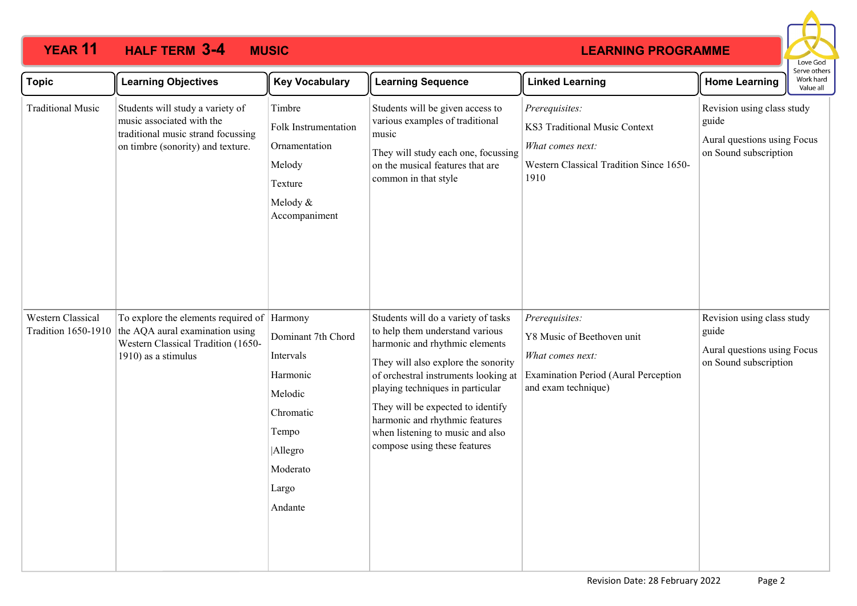# **YEAR 11 HALF TERM MUSIC 3-4**

## **LEARNING PROGRAMME**



| <b>Topic</b>                                    | <b>Learning Objectives</b>                                                                                                                  | <b>Key Vocabulary</b>                                                                                                   | <b>Learning Sequence</b>                                                                                                                                                                                                                                                                                                                                               | <b>Linked Learning</b>                                                                                                          | <b>Home Learning</b>                                                                        | Serve others<br>Work hard<br>Value all |
|-------------------------------------------------|---------------------------------------------------------------------------------------------------------------------------------------------|-------------------------------------------------------------------------------------------------------------------------|------------------------------------------------------------------------------------------------------------------------------------------------------------------------------------------------------------------------------------------------------------------------------------------------------------------------------------------------------------------------|---------------------------------------------------------------------------------------------------------------------------------|---------------------------------------------------------------------------------------------|----------------------------------------|
| <b>Traditional Music</b>                        | Students will study a variety of<br>music associated with the<br>traditional music strand focussing<br>on timbre (sonority) and texture.    | Timbre<br>Folk Instrumentation<br>Ornamentation<br>Melody<br>Texture<br>Melody &<br>Accompaniment                       | Students will be given access to<br>various examples of traditional<br>music<br>They will study each one, focussing<br>on the musical features that are<br>common in that style                                                                                                                                                                                        | Prerequisites:<br>KS3 Traditional Music Context<br>What comes next:<br>Western Classical Tradition Since 1650-<br>1910          | Revision using class study<br>guide<br>Aural questions using Focus<br>on Sound subscription |                                        |
| Western Classical<br><b>Tradition 1650-1910</b> | To explore the elements required of Harmony<br>the AQA aural examination using<br>Western Classical Tradition (1650-<br>1910) as a stimulus | Dominant 7th Chord<br>Intervals<br>Harmonic<br>Melodic<br>Chromatic<br>Tempo<br>Allegro<br>Moderato<br>Largo<br>Andante | Students will do a variety of tasks<br>to help them understand various<br>harmonic and rhythmic elements<br>They will also explore the sonority<br>of orchestral instruments looking at<br>playing techniques in particular<br>They will be expected to identify<br>harmonic and rhythmic features<br>when listening to music and also<br>compose using these features | Prerequisites:<br>Y8 Music of Beethoven unit<br>What comes next:<br>Examination Period (Aural Perception<br>and exam technique) | Revision using class study<br>guide<br>Aural questions using Focus<br>on Sound subscription |                                        |